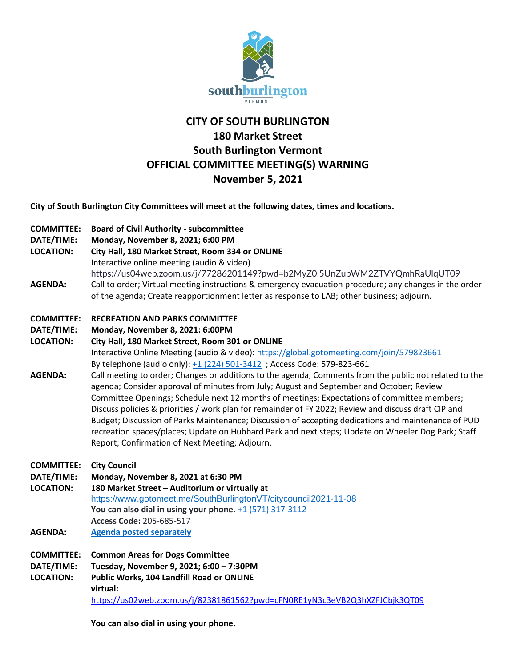

# **CITY OF SOUTH BURLINGTON 180 Market Street South Burlington Vermont OFFICIAL COMMITTEE MEETING(S) WARNING November 5, 2021**

**City of South Burlington City Committees will meet at the following dates, times and locations.** 

- **COMMITTEE: Board of Civil Authority - subcommittee**
- **DATE/TIME: Monday, November 8, 2021; 6:00 PM**
- **LOCATION: City Hall, 180 Market Street, Room 334 or ONLINE**
	- Interactive online meeting (audio & video)
- https://us04web.zoom.us/j/77286201149?pwd=b2MyZ0l5UnZubWM2ZTVYQmhRaUlqUT09 **AGENDA:** Call to order; Virtual meeting instructions & emergency evacuation procedure; any changes in the order of the agenda; Create reapportionment letter as response to LAB; other business; adjourn.

# **COMMITTEE: RECREATION AND PARKS COMMITTEE**

**DATE/TIME: Monday, November 8, 2021: 6:00PM**

**LOCATION: City Hall, 180 Market Street, Room 301 or ONLINE** Interactive Online Meeting (audio & video): <https://global.gotomeeting.com/join/579823661> By telephone (audio only): [+1 \(224\) 501-3412](tel:+12245013412,,579823661) ; Access Code: 579-823-661

- **AGENDA:** Call meeting to order; Changes or additions to the agenda, Comments from the public not related to the agenda; Consider approval of minutes from July; August and September and October; Review Committee Openings; Schedule next 12 months of meetings; Expectations of committee members; Discuss policies & priorities / work plan for remainder of FY 2022; Review and discuss draft CIP and Budget; Discussion of Parks Maintenance; Discussion of accepting dedications and maintenance of PUD recreation spaces/places; Update on Hubbard Park and next steps; Update on Wheeler Dog Park; Staff Report; Confirmation of Next Meeting; Adjourn.
- **COMMITTEE: City Council**

**DATE/TIME: Monday, November 8, 2021 at 6:30 PM**

- **LOCATION: 180 Market Street – Auditorium or virtually at** <https://www.gotomeet.me/SouthBurlingtonVT/citycouncil2021-11-08> **You can also dial in using your phone.** [+1 \(571\) 317-3112](tel:+15713173112,,205685517) **Access Code:** 205-685-517
- **AGENDA: [Agenda posted separately](https://sbvt-records.info/WebLink/DocView.aspx?id=262293&dbid=0&repo=SBurl)**
- **COMMITTEE: Common Areas for Dogs Committee DATE/TIME: Tuesday, November 9, 2021; 6:00 – 7:30PM LOCATION: Public Works, 104 Landfill Road or ONLINE virtual:**  https://us02web.zoom.us/j/82381861562?pwd=cFN0RE1yN3c3eVB2Q3hXZFJCbjk3QT09

**You can also dial in using your phone.**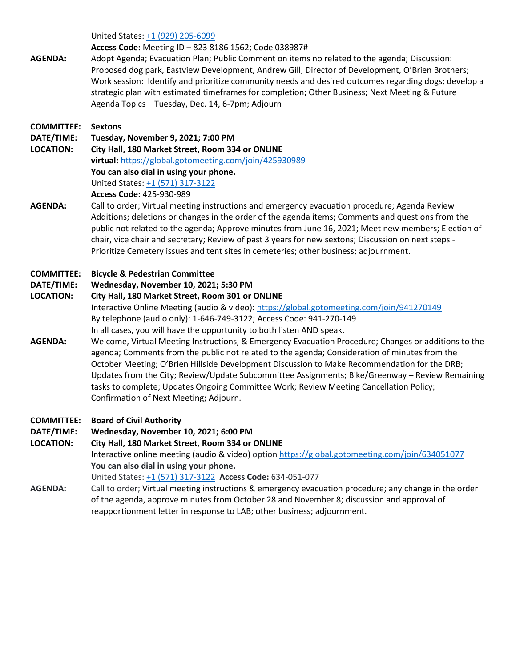United States[: +1 \(929\) 205-6](tel:+15713173122,,425930989)099

#### **Access Code:** Meeting ID – 823 8186 1562; Code 038987#

**AGENDA:** Adopt Agenda; Evacuation Plan; Public Comment on items no related to the agenda; Discussion: Proposed dog park, Eastview Development, Andrew Gill, Director of Development, O'Brien Brothers; Work session: Identify and prioritize community needs and desired outcomes regarding dogs; develop a strategic plan with estimated timeframes for completion; Other Business; Next Meeting & Future Agenda Topics – Tuesday, Dec. 14, 6-7pm; Adjourn

## **COMMITTEE: Sextons**

**DATE/TIME: Tuesday, November 9, 2021; 7:00 PM**

**LOCATION: City Hall, 180 Market Street, Room 334 or ONLINE virtual:** <https://global.gotomeeting.com/join/425930989> **You can also dial in using your phone.** United States[: +1 \(571\) 317-3122](tel:+15713173122,,425930989)

**Access Code:** 425-930-989

**AGENDA:** Call to order; Virtual meeting instructions and emergency evacuation procedure; Agenda Review Additions; deletions or changes in the order of the agenda items; Comments and questions from the public not related to the agenda; Approve minutes from June 16, 2021; Meet new members; Election of chair, vice chair and secretary; Review of past 3 years for new sextons; Discussion on next steps - Prioritize Cemetery issues and tent sites in cemeteries; other business; adjournment.

#### **COMMITTEE: Bicycle & Pedestrian Committee**

#### **DATE/TIME: Wednesday, November 10, 2021; 5:30 PM**

## **LOCATION: City Hall, 180 Market Street, Room 301 or ONLINE** Interactive Online Meeting (audio & video): <https://global.gotomeeting.com/join/941270149> By telephone (audio only): 1-646-749-3122; Access Code: 941-270-149 In all cases, you will have the opportunity to both listen AND speak.

**AGENDA:** Welcome, Virtual Meeting Instructions, & Emergency Evacuation Procedure; Changes or additions to the agenda; Comments from the public not related to the agenda; Consideration of minutes from the October Meeting; O'Brien Hillside Development Discussion to Make Recommendation for the DRB; Updates from the City; Review/Update Subcommittee Assignments; Bike/Greenway – Review Remaining tasks to complete; Updates Ongoing Committee Work; Review Meeting Cancellation Policy; Confirmation of Next Meeting; Adjourn.

#### **COMMITTEE: Board of Civil Authority**

**DATE/TIME: Wednesday, November 10, 2021; 6:00 PM**

**LOCATION: City Hall, 180 Market Street, Room 334 or ONLINE**

Interactive online meeting (audio & video) optio[n https://global.gotomeeting.com/join/634051077](https://global.gotomeeting.com/join/634051077) **You can also dial in using your phone.**

United States: [+1 \(571\) 317-3122](tel:+15713173122,,634051077) **Access Code:** 634-051-077

**AGENDA**: Call to order; Virtual meeting instructions & emergency evacuation procedure; any change in the order of the agenda, approve minutes from October 28 and November 8; discussion and approval of reapportionment letter in response to LAB; other business; adjournment.